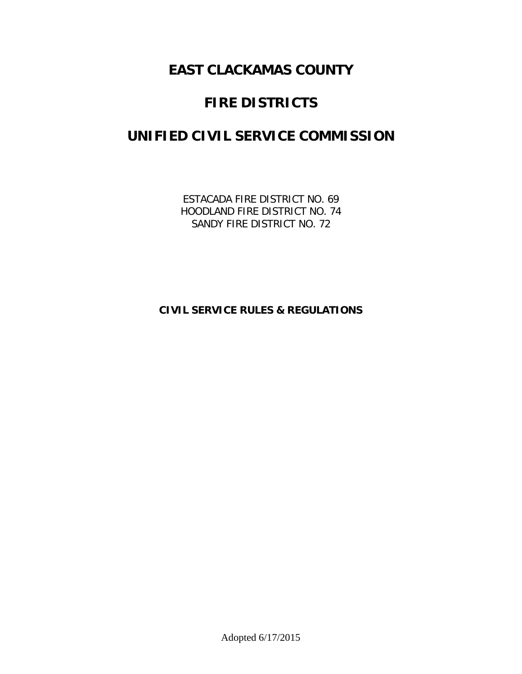# **EAST CLACKAMAS COUNTY**

# **FIRE DISTRICTS**

# **UNIFIED CIVIL SERVICE COMMISSION**

ESTACADA FIRE DISTRICT NO. 69 HOODLAND FIRE DISTRICT NO. 74 SANDY FIRE DISTRICT NO. 72

# **CIVIL SERVICE RULES & REGULATIONS**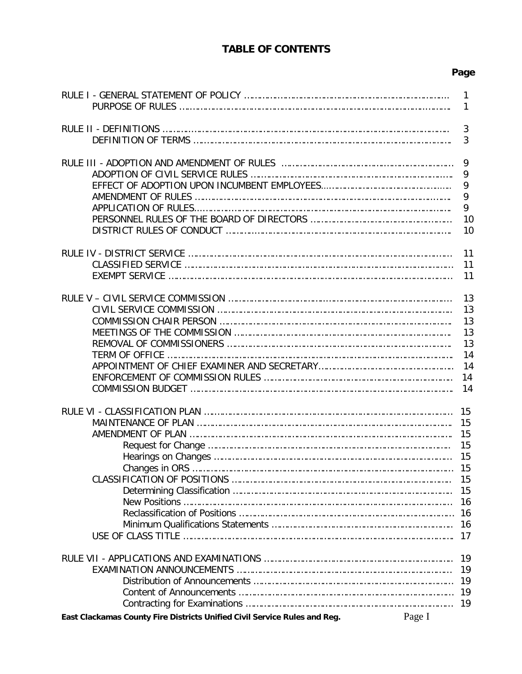# **TABLE OF CONTENTS**

# **Page**

|                                                                                     | $\overline{1}$<br>$\mathbf{1}$ |
|-------------------------------------------------------------------------------------|--------------------------------|
|                                                                                     | 3                              |
|                                                                                     | 3                              |
|                                                                                     | 9<br>9                         |
|                                                                                     | 9                              |
|                                                                                     | 9<br>9                         |
|                                                                                     | 10                             |
|                                                                                     | 10                             |
|                                                                                     |                                |
|                                                                                     | 11                             |
|                                                                                     | 11                             |
|                                                                                     | 11                             |
|                                                                                     | 13                             |
|                                                                                     | $1\overline{3}$                |
|                                                                                     | 13                             |
|                                                                                     | 13                             |
|                                                                                     | 13                             |
|                                                                                     | 14                             |
|                                                                                     | 14                             |
|                                                                                     | 14                             |
|                                                                                     |                                |
|                                                                                     | 15                             |
|                                                                                     |                                |
|                                                                                     |                                |
|                                                                                     | 15                             |
|                                                                                     |                                |
|                                                                                     | 15                             |
|                                                                                     | 15                             |
|                                                                                     | 15                             |
|                                                                                     | 16                             |
|                                                                                     | 16                             |
|                                                                                     | 16                             |
|                                                                                     | 17                             |
|                                                                                     | 19                             |
|                                                                                     | 19                             |
|                                                                                     | 19                             |
|                                                                                     | 19                             |
|                                                                                     | 19                             |
| Page I<br>East Clackamas County Fire Districts Unified Civil Service Rules and Reg. |                                |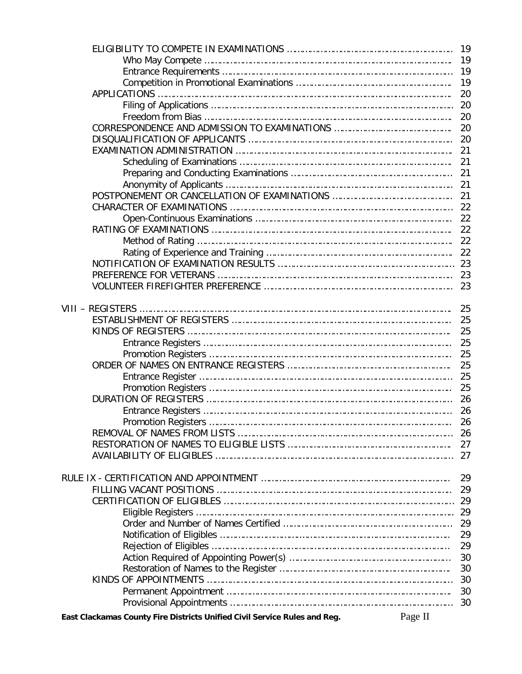|                                                                           | 19      |
|---------------------------------------------------------------------------|---------|
|                                                                           | 19      |
|                                                                           | 19      |
|                                                                           | 19      |
|                                                                           | 20      |
|                                                                           | 20      |
|                                                                           | 20      |
|                                                                           | 20      |
|                                                                           | 20      |
|                                                                           | 21      |
|                                                                           | 21      |
|                                                                           | 21      |
|                                                                           |         |
|                                                                           |         |
|                                                                           | 22      |
|                                                                           | 22      |
|                                                                           | 22      |
|                                                                           |         |
|                                                                           | 22      |
|                                                                           |         |
|                                                                           |         |
|                                                                           |         |
|                                                                           | 23      |
|                                                                           |         |
|                                                                           |         |
|                                                                           | 25      |
|                                                                           | 25      |
|                                                                           | 25      |
|                                                                           | 25      |
|                                                                           | 25      |
|                                                                           | 25      |
|                                                                           | 25      |
|                                                                           | 26      |
|                                                                           | 26      |
|                                                                           | 26      |
|                                                                           |         |
|                                                                           |         |
|                                                                           | 27      |
|                                                                           |         |
|                                                                           | 29      |
|                                                                           | 29      |
|                                                                           | 29      |
|                                                                           | 29      |
|                                                                           | 29      |
|                                                                           | 29      |
|                                                                           | 29      |
|                                                                           | 30      |
|                                                                           | 30      |
|                                                                           | 30      |
|                                                                           | 30      |
|                                                                           | 30      |
|                                                                           |         |
| East Clackamas County Fire Districts Unified Civil Service Rules and Reg. | Page II |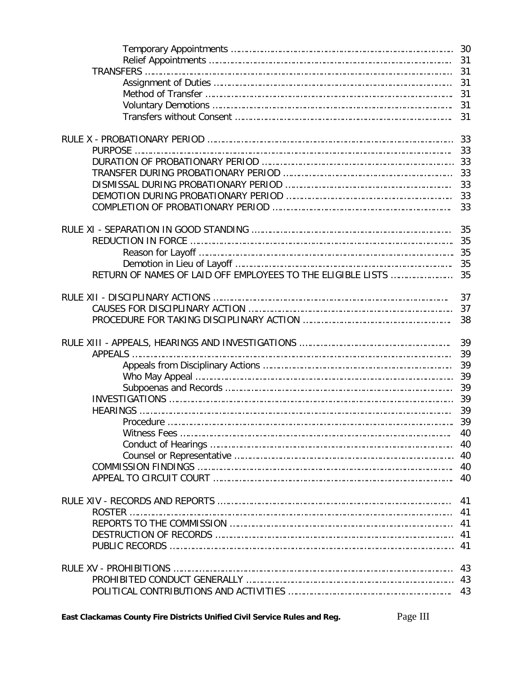|                                                                           | 31       |
|---------------------------------------------------------------------------|----------|
|                                                                           | 31       |
|                                                                           | 31       |
|                                                                           | 31       |
|                                                                           | 31       |
|                                                                           | 31       |
|                                                                           | 33       |
|                                                                           | 33       |
|                                                                           | 33       |
|                                                                           | 33       |
|                                                                           | 33       |
|                                                                           | 33       |
|                                                                           | 33       |
|                                                                           |          |
|                                                                           | 35       |
|                                                                           | 35       |
|                                                                           |          |
|                                                                           |          |
|                                                                           |          |
|                                                                           |          |
|                                                                           | 37       |
|                                                                           | 37       |
|                                                                           | 38       |
|                                                                           | 39       |
|                                                                           | 39       |
|                                                                           | 39       |
|                                                                           | 39       |
|                                                                           | 39       |
|                                                                           | 39       |
|                                                                           | 39       |
|                                                                           | 39       |
|                                                                           | 40       |
|                                                                           | 40       |
|                                                                           | 40       |
|                                                                           | 40       |
|                                                                           | 40       |
|                                                                           |          |
|                                                                           | 41       |
|                                                                           | 41       |
|                                                                           | 41       |
|                                                                           | 41       |
|                                                                           | 41       |
|                                                                           | 43       |
|                                                                           | 43       |
|                                                                           | 43       |
|                                                                           |          |
| East Clackamas County Fire Districts Unified Civil Service Rules and Reg. | Page III |
|                                                                           |          |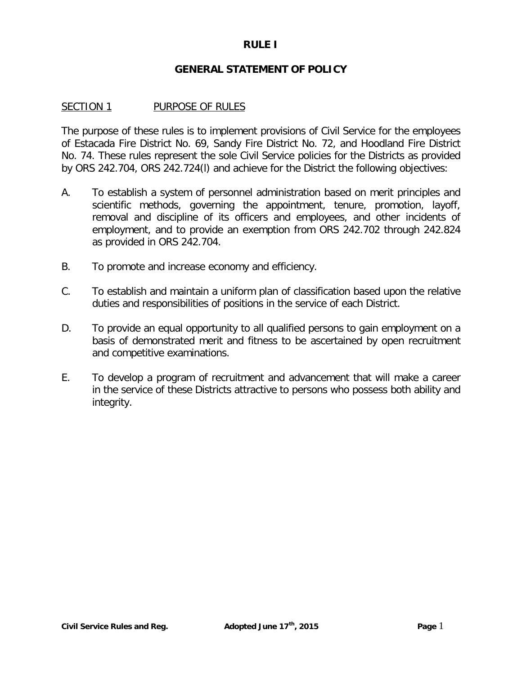#### **RULE I**

#### **GENERAL STATEMENT OF POLICY**

#### SECTION 1 PURPOSE OF RULES

The purpose of these rules is to implement provisions of Civil Service for the employees of Estacada Fire District No. 69, Sandy Fire District No. 72, and Hoodland Fire District No. 74. These rules represent the sole Civil Service policies for the Districts as provided by ORS 242.704, ORS 242.724(l) and achieve for the District the following objectives:

- A. To establish a system of personnel administration based on merit principles and scientific methods, governing the appointment, tenure, promotion, layoff, removal and discipline of its officers and employees, and other incidents of employment, and to provide an exemption from ORS 242.702 through 242.824 as provided in ORS 242.704.
- B. To promote and increase economy and efficiency.
- C. To establish and maintain a uniform plan of classification based upon the relative duties and responsibilities of positions in the service of each District.
- D. To provide an equal opportunity to all qualified persons to gain employment on a basis of demonstrated merit and fitness to be ascertained by open recruitment and competitive examinations.
- E. To develop a program of recruitment and advancement that will make a career in the service of these Districts attractive to persons who possess both ability and integrity.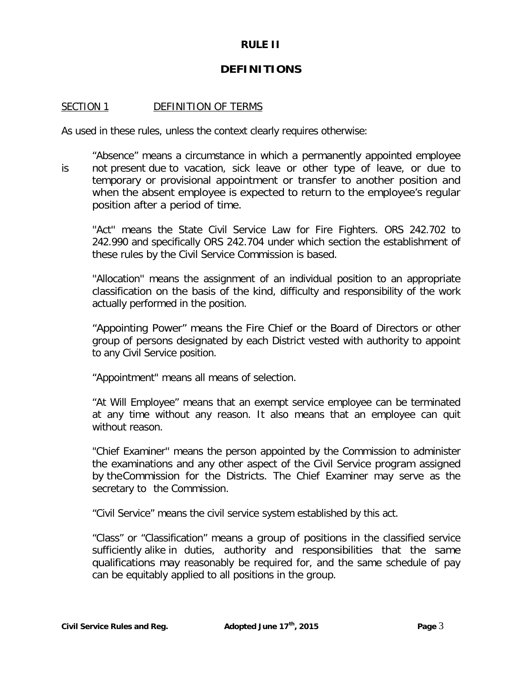# **RULE II**

# **DEFINITIONS**

### SECTION 1 DEFINITION OF TERMS

As used in these rules, unless the context clearly requires otherwise:

"Absence" means a circumstance in which a permanently appointed employee is not present due to vacation, sick leave or other type of leave, or due to temporary or provisional appointment or transfer to another position and when the absent employee is expected to return to the employee's regular position after a period of time.

"Act" means the State Civil Service Law for Fire Fighters. ORS 242.702 to 242.990 and specifically ORS 242.704 under which section the establishment of these rules by the Civil Service Commission is based.

''Allocation'' means the assignment of an individual position to an appropriate classification on the basis of the kind, difficulty and responsibility of the work actually performed in the position.

"Appointing Power" means the Fire Chief or the Board of Directors or other group of persons designated by each District vested with authority to appoint to any Civil Service position.

"Appointment" means all means of selection.

"At Will Employee" means that an exempt service employee can be terminated at any time without any reason. It also means that an employee can quit without reason.

"Chief Examiner'' means the person appointed by the Commission to administer the examinations and any other aspect of the Civil Service program assigned by theCommission for the Districts. The Chief Examiner may serve as the secretary to the Commission.

"Civil Service" means the civil service system established by this act.

"Class" or "Classification" means a group of positions in the classified service sufficiently alike in duties, authority and responsibilities that the same qualifications may reasonably be required for, and the same schedule of pay can be equitably applied to all positions in the group.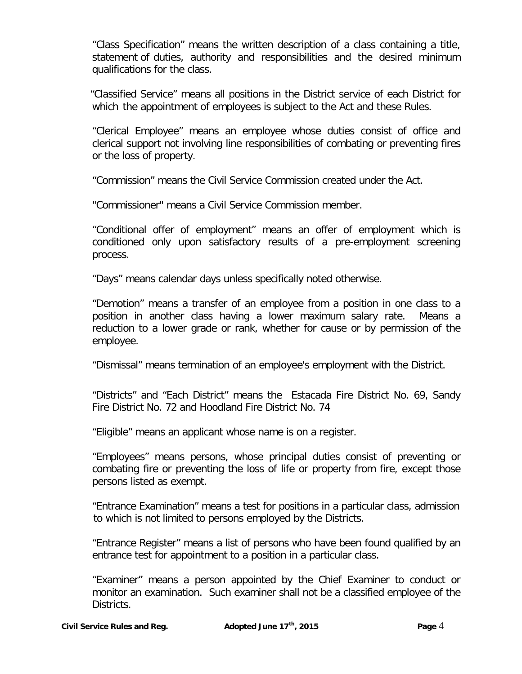"Class Specification" means the written description of a class containing a title, statement of duties, authority and responsibilities and the desired minimum qualifications for the class.

 "Classified Service" means all positions in the District service of each District for which the appointment of employees is subject to the Act and these Rules.

"Clerical Employee" means an employee whose duties consist of office and clerical support not involving line responsibilities of combating or preventing fires or the loss of property.

"Commission" means the Civil Service Commission created under the Act.

"Commissioner" means a Civil Service Commission member.

"Conditional offer of employment" means an offer of employment which is conditioned only upon satisfactory results of a pre-employment screening process.

"Days" means calendar days unless specifically noted otherwise.

"Demotion" means a transfer of an employee from a position in one class to a position in another class having a lower maximum salary rate. Means a reduction to a lower grade or rank, whether for cause or by permission of the employee.

"Dismissal" means termination of an employee's employment with the District.

"Districts" and "Each District" means the Estacada Fire District No. 69, Sandy Fire District No. 72 and Hoodland Fire District No. 74

"Eligible" means an applicant whose name is on a register.

"Employees" means persons, whose principal duties consist of preventing or combating fire or preventing the loss of life or property from fire, except those persons listed as exempt.

"Entrance Examination" means a test for positions in a particular class, admission to which is not limited to persons employed by the Districts.

"Entrance Register" means a list of persons who have been found qualified by an entrance test for appointment to a position in a particular class.

"Examiner" means a person appointed by the Chief Examiner to conduct or monitor an examination. Such examiner shall not be a classified employee of the Districts.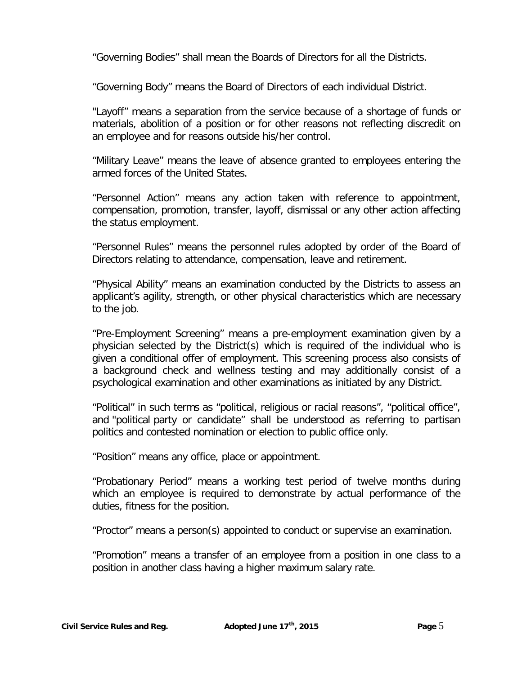"Governing Bodies" shall mean the Boards of Directors for all the Districts.

"Governing Body" means the Board of Directors of each individual District.

"Layoff" means a separation from the service because of a shortage of funds or materials, abolition of a position or for other reasons not reflecting discredit on an employee and for reasons outside his/her control.

"Military Leave" means the leave of absence granted to employees entering the armed forces of the United States.

"Personnel Action" means any action taken with reference to appointment, compensation, promotion, transfer, layoff, dismissal or any other action affecting the status employment.

"Personnel Rules" means the personnel rules adopted by order of the Board of Directors relating to attendance, compensation, leave and retirement.

"Physical Ability" means an examination conducted by the Districts to assess an applicant's agility, strength, or other physical characteristics which are necessary to the job.

"Pre-Employment Screening" means a pre-employment examination given by a physician selected by the District(s) which is required of the individual who is given a conditional offer of employment. This screening process also consists of a background check and wellness testing and may additionally consist of a psychological examination and other examinations as initiated by any District.

"Political" in such terms as "political, religious or racial reasons", "political office", and "political party or candidate" shall be understood as referring to partisan politics and contested nomination or election to public office only.

"Position" means any office, place or appointment.

"Probationary Period" means a working test period of twelve months during which an employee is required to demonstrate by actual performance of the duties, fitness for the position.

"Proctor" means a person(s) appointed to conduct or supervise an examination.

"Promotion" means a transfer of an employee from a position in one class to a position in another class having a higher maximum salary rate.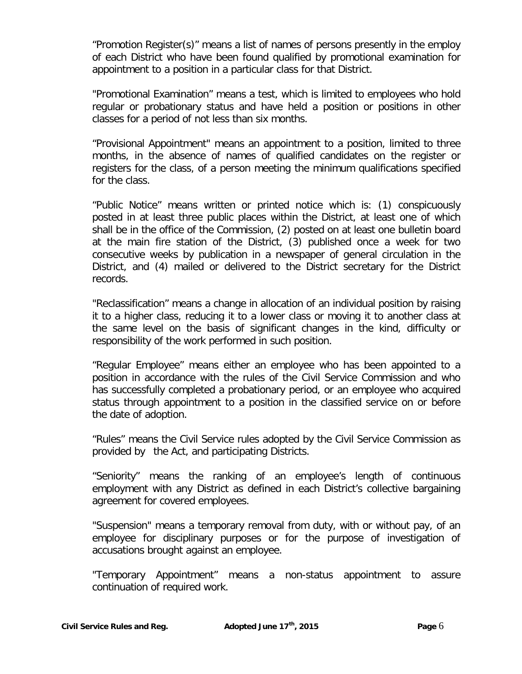"Promotion Register(s)" means a list of names of persons presently in the employ of each District who have been found qualified by promotional examination for appointment to a position in a particular class for that District.

"Promotional Examination" means a test, which is limited to employees who hold regular or probationary status and have held a position or positions in other classes for a period of not less than six months.

"Provisional Appointment" means an appointment to a position, limited to three months, in the absence of names of qualified candidates on the register or registers for the class, of a person meeting the minimum qualifications specified for the class.

"Public Notice" means written or printed notice which is: (1) conspicuously posted in at least three public places within the District, at least one of which shall be in the office of the Commission, (2) posted on at least one bulletin board at the main fire station of the District, (3) published once a week for two consecutive weeks by publication in a newspaper of general circulation in the District, and (4) mailed or delivered to the District secretary for the District records.

"Reclassification" means a change in allocation of an individual position by raising it to a higher class, reducing it to a lower class or moving it to another class at the same level on the basis of significant changes in the kind, difficulty or responsibility of the work performed in such position.

"Regular Employee" means either an employee who has been appointed to a position in accordance with the rules of the Civil Service Commission and who has successfully completed a probationary period, or an employee who acquired status through appointment to a position in the classified service on or before the date of adoption.

"Rules" means the Civil Service rules adopted by the Civil Service Commission as provided by the Act, and participating Districts.

"Seniority" means the ranking of an employee's length of continuous employment with any District as defined in each District's collective bargaining agreement for covered employees.

"Suspension" means a temporary removal from duty, with or without pay, of an employee for disciplinary purposes or for the purpose of investigation of accusations brought against an employee.

"Temporary Appointment" means a non-status appointment to assure continuation of required work.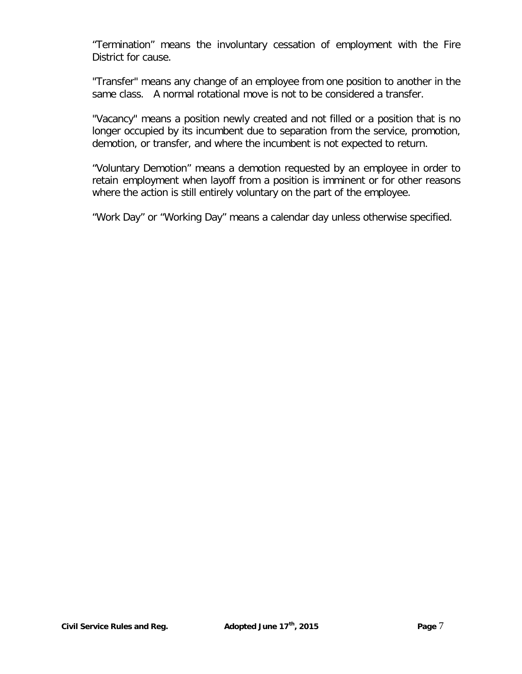"Termination" means the involuntary cessation of employment with the Fire District for cause.

"Transfer" means any change of an employee from one position to another in the same class. A normal rotational move is not to be considered a transfer.

"Vacancy" means a position newly created and not filled or a position that is no longer occupied by its incumbent due to separation from the service, promotion, demotion, or transfer, and where the incumbent is not expected to return.

"Voluntary Demotion" means a demotion requested by an employee in order to retain employment when layoff from a position is imminent or for other reasons where the action is still entirely voluntary on the part of the employee.

"Work Day" or "Working Day" means a calendar day unless otherwise specified.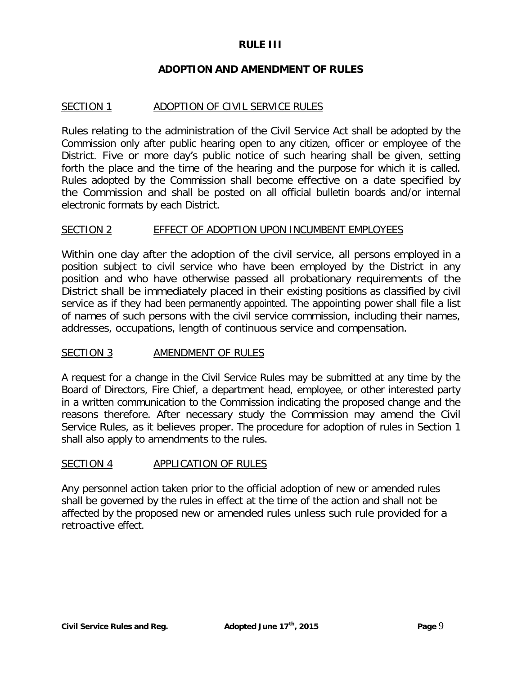## **RULE III**

# **ADOPTION AND AMENDMENT OF RULES**

## SECTION 1 ADOPTION OF CIVIL SERVICE RULES

Rules relating to the administration of the Civil Service Act shall be adopted by the Commission only after public hearing open to any citizen, officer or employee of the District. Five or more day's public notice of such hearing shall be given, setting forth the place and the time of the hearing and the purpose for which it is called. Rules adopted by the Commission shall become effective on a date specified by the Commission and shall be posted on all official bulletin boards and/or internal electronic formats by each District.

## SECTION 2 EFFECT OF ADOPTION UPON INCUMBENT EMPLOYEES

Within one day after the adoption of the civil service, all persons employed in a position subject to civil service who have been employed by the District in any position and who have otherwise passed all probationary requirements of the District shall be immediately placed in their existing positions as classified by civil service as if they had been permanently appointed. The appointing power shall file a list of names of such persons with the civil service commission, including their names, addresses, occupations, length of continuous service and compensation.

## SECTION 3 AMENDMENT OF RULES

A request for a change in the Civil Service Rules may be submitted at any time by the Board of Directors, Fire Chief, a department head, employee, or other interested party in a written communication to the Commission indicating the proposed change and the reasons therefore. After necessary study the Commission may amend the Civil Service Rules, as it believes proper. The procedure for adoption of rules in Section 1 shall also apply to amendments to the rules.

## SECTION 4 APPLICATION OF RULES

Any personnel action taken prior to the official adoption of new or amended rules shall be governed by the rules in effect at the time of the action and shall not be affected by the proposed new or amended rules unless such rule provided for a retroactive effect.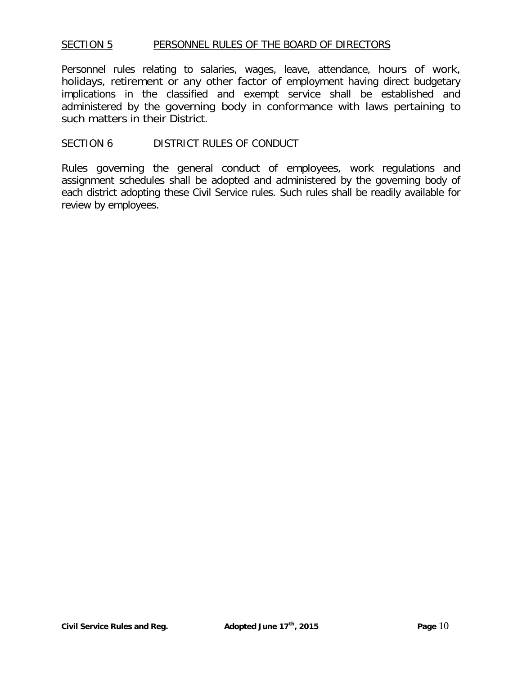#### SECTION 5 PERSONNEL RULES OF THE BOARD OF DIRECTORS

Personnel rules relating to salaries, wages, leave, attendance, hours of work, holidays, retirement or any other factor of employment having direct budgetary implications in the classified and exempt service shall be established and administered by the governing body in conformance with laws pertaining to such matters in their District.

#### SECTION 6 DISTRICT RULES OF CONDUCT

Rules governing the general conduct of employees, work regulations and assignment schedules shall be adopted and administered by the governing body of each district adopting these Civil Service rules. Such rules shall be readily available for review by employees.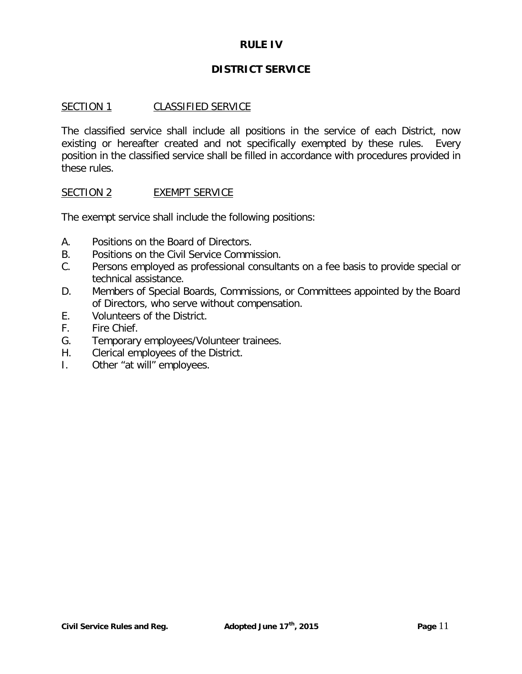## **RULE IV**

# **DISTRICT SERVICE**

### SECTION 1 CLASSIFIED SERVICE

The classified service shall include all positions in the service of each District, now existing or hereafter created and not specifically exempted by these rules. Every position in the classified service shall be filled in accordance with procedures provided in these rules.

#### SECTION 2 EXEMPT SERVICE

The exempt service shall include the following positions:

- A. Positions on the Board of Directors.
- B. Positions on the Civil Service Commission.
- C. Persons employed as professional consultants on a fee basis to provide special or technical assistance.
- D. Members of Special Boards, Commissions, or Committees appointed by the Board of Directors, who serve without compensation.
- E. Volunteers of the District.
- F. Fire Chief.
- G. Temporary employees/Volunteer trainees.
- H. Clerical employees of the District.
- I. Other "at will" employees.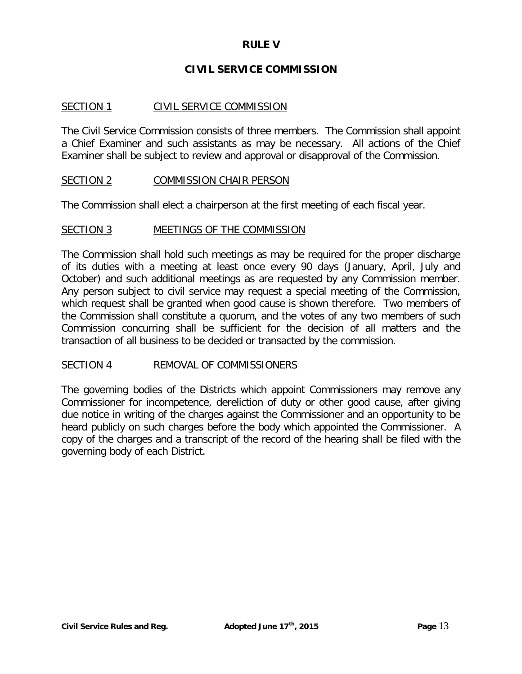## **RULE V**

#### **CIVIL SERVICE COMMISSION**

#### SECTION 1 CIVIL SERVICE COMMISSION

The Civil Service Commission consists of three members. The Commission shall appoint a Chief Examiner and such assistants as may be necessary. All actions of the Chief Examiner shall be subject to review and approval or disapproval of the Commission.

#### SECTION 2 COMMISSION CHAIR PERSON

The Commission shall elect a chairperson at the first meeting of each fiscal year.

#### SECTION 3 MEETINGS OF THE COMMISSION

The Commission shall hold such meetings as may be required for the proper discharge of its duties with a meeting at least once every 90 days (January, April, July and October) and such additional meetings as are requested by any Commission member. Any person subject to civil service may request a special meeting of the Commission, which request shall be granted when good cause is shown therefore. Two members of the Commission shall constitute a quorum, and the votes of any two members of such Commission concurring shall be sufficient for the decision of all matters and the transaction of all business to be decided or transacted by the commission.

#### SECTION 4 REMOVAL OF COMMISSIONERS

The governing bodies of the Districts which appoint Commissioners may remove any Commissioner for incompetence, dereliction of duty or other good cause, after giving due notice in writing of the charges against the Commissioner and an opportunity to be heard publicly on such charges before the body which appointed the Commissioner. A copy of the charges and a transcript of the record of the hearing shall be filed with the governing body of each District.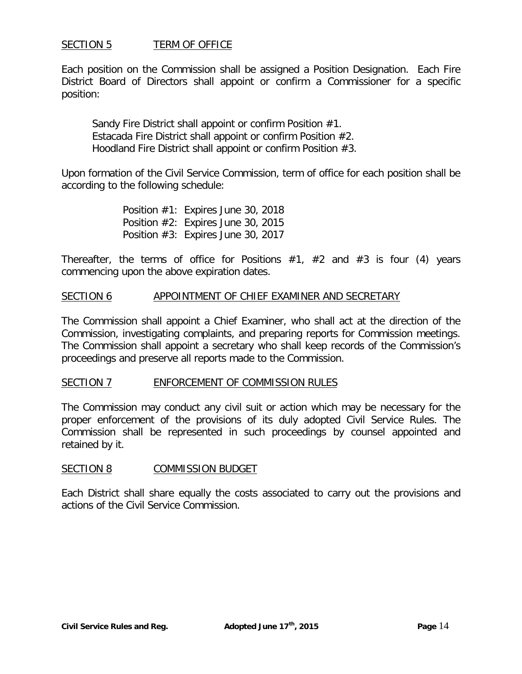## SECTION 5 TERM OF OFFICE

Each position on the Commission shall be assigned a Position Designation. Each Fire District Board of Directors shall appoint or confirm a Commissioner for a specific position:

Sandy Fire District shall appoint or confirm Position #1. Estacada Fire District shall appoint or confirm Position #2. Hoodland Fire District shall appoint or confirm Position #3.

Upon formation of the Civil Service Commission, term of office for each position shall be according to the following schedule:

> Position #1: Expires June 30, 2018 Position #2: Expires June 30, 2015 Position #3: Expires June 30, 2017

Thereafter, the terms of office for Positions  $#1, #2$  and  $#3$  is four (4) years commencing upon the above expiration dates.

#### SECTION 6 APPOINTMENT OF CHIEF EXAMINER AND SECRETARY

The Commission shall appoint a Chief Examiner, who shall act at the direction of the Commission, investigating complaints, and preparing reports for Commission meetings. The Commission shall appoint a secretary who shall keep records of the Commission's proceedings and preserve all reports made to the Commission.

#### SECTION 7 ENFORCEMENT OF COMMISSION RULES

The Commission may conduct any civil suit or action which may be necessary for the proper enforcement of the provisions of its duly adopted Civil Service Rules. The Commission shall be represented in such proceedings by counsel appointed and retained by it.

#### SECTION 8 COMMISSION BUDGET

Each District shall share equally the costs associated to carry out the provisions and actions of the Civil Service Commission.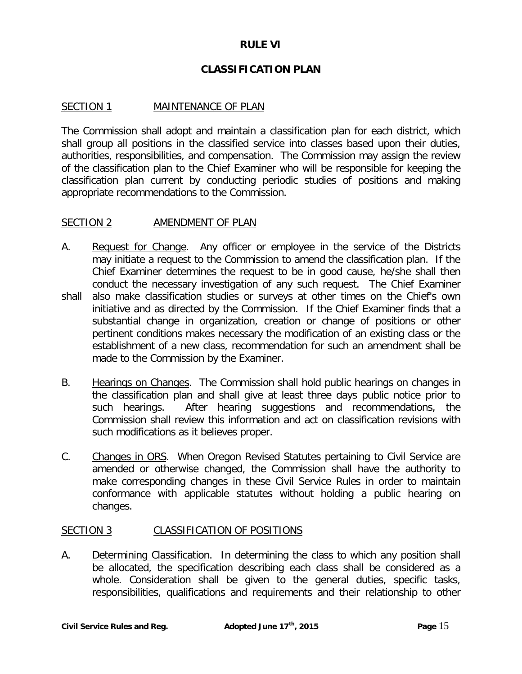## **RULE VI**

# **CLASSIFICATION PLAN**

#### SECTION 1 MAINTENANCE OF PLAN

The Commission shall adopt and maintain a classification plan for each district, which shall group all positions in the classified service into classes based upon their duties, authorities, responsibilities, and compensation. The Commission may assign the review of the classification plan to the Chief Examiner who will be responsible for keeping the classification plan current by conducting periodic studies of positions and making appropriate recommendations to the Commission.

#### SECTION 2 AMENDMENT OF PLAN

- A. Request for Change. Any officer or employee in the service of the Districts may initiate a request to the Commission to amend the classification plan. If the Chief Examiner determines the request to be in good cause, he/she shall then conduct the necessary investigation of any such request. The Chief Examiner
- shall also make classification studies or surveys at other times on the Chief's own initiative and as directed by the Commission. If the Chief Examiner finds that a substantial change in organization, creation or change of positions or other pertinent conditions makes necessary the modification of an existing class or the establishment of a new class, recommendation for such an amendment shall be made to the Commission by the Examiner.
- B. Hearings on Changes. The Commission shall hold public hearings on changes in the classification plan and shall give at least three days public notice prior to such hearings. After hearing suggestions and recommendations, the Commission shall review this information and act on classification revisions with such modifications as it believes proper.
- C. Changes in ORS. When Oregon Revised Statutes pertaining to Civil Service are amended or otherwise changed, the Commission shall have the authority to make corresponding changes in these Civil Service Rules in order to maintain conformance with applicable statutes without holding a public hearing on changes.

#### SECTION 3 CLASSIFICATION OF POSITIONS

A. Determining Classification. In determining the class to which any position shall be allocated, the specification describing each class shall be considered as a whole. Consideration shall be given to the general duties, specific tasks, responsibilities, qualifications and requirements and their relationship to other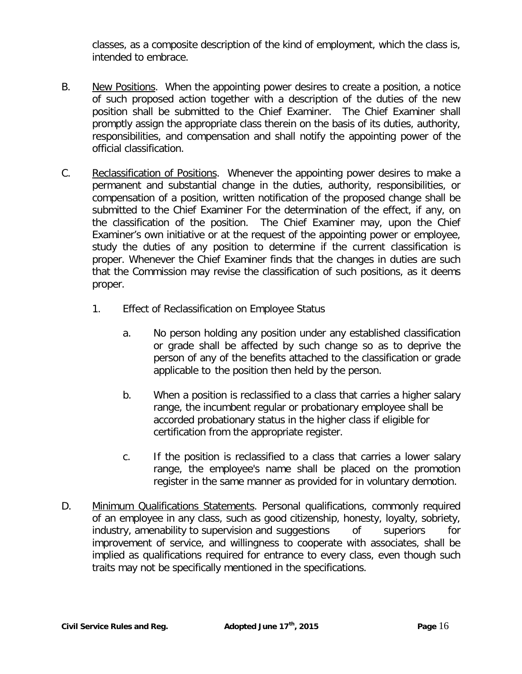classes, as a composite description of the kind of employment, which the class is, intended to embrace.

- B. New Positions. When the appointing power desires to create a position, a notice of such proposed action together with a description of the duties of the new position shall be submitted to the Chief Examiner. The Chief Examiner shall promptly assign the appropriate class therein on the basis of its duties, authority, responsibilities, and compensation and shall notify the appointing power of the official classification.
- C. Reclassification of Positions. Whenever the appointing power desires to make a permanent and substantial change in the duties, authority, responsibilities, or compensation of a position, written notification of the proposed change shall be submitted to the Chief Examiner For the determination of the effect, if any, on the classification of the position. The Chief Examiner may, upon the Chief Examiner's own initiative or at the request of the appointing power or employee, study the duties of any position to determine if the current classification is proper. Whenever the Chief Examiner finds that the changes in duties are such that the Commission may revise the classification of such positions, as it deems proper.
	- 1. Effect of Reclassification on Employee Status
		- a. No person holding any position under any established classification or grade shall be affected by such change so as to deprive the person of any of the benefits attached to the classification or grade applicable to the position then held by the person.
		- b. When a position is reclassified to a class that carries a higher salary range, the incumbent regular or probationary employee shall be accorded probationary status in the higher class if eligible for certification from the appropriate register.
		- c. If the position is reclassified to a class that carries a lower salary range, the employee's name shall be placed on the promotion register in the same manner as provided for in voluntary demotion.
- D. Minimum Qualifications Statements. Personal qualifications, commonly required of an employee in any class, such as good citizenship, honesty, loyalty, sobriety, industry, amenability to supervision and suggestions of superiors for improvement of service, and willingness to cooperate with associates, shall be implied as qualifications required for entrance to every class, even though such traits may not be specifically mentioned in the specifications.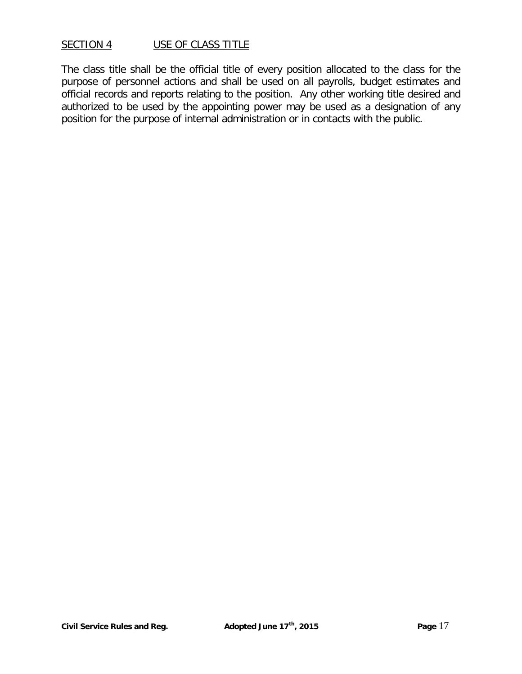## SECTION 4 USE OF CLASS TITLE

The class title shall be the official title of every position allocated to the class for the purpose of personnel actions and shall be used on all payrolls, budget estimates and official records and reports relating to the position. Any other working title desired and authorized to be used by the appointing power may be used as a designation of any position for the purpose of internal administration or in contacts with the public.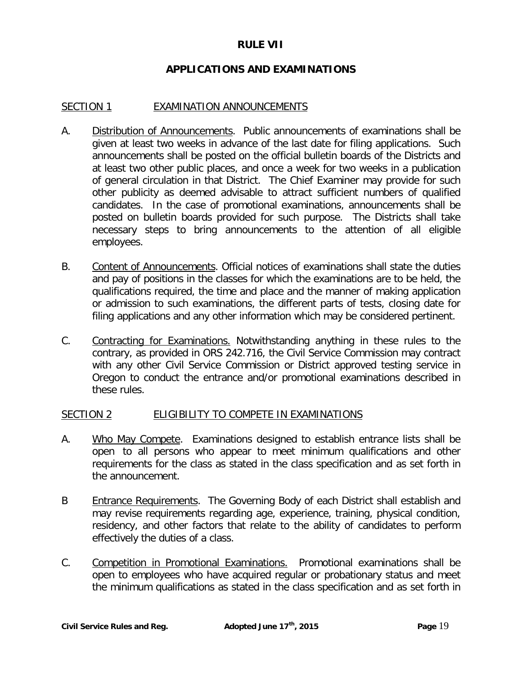# **RULE VII**

# **APPLICATIONS AND EXAMINATIONS**

### SECTION 1 EXAMINATION ANNOUNCEMENTS

- A. Distribution of Announcements. Public announcements of examinations shall be given at least two weeks in advance of the last date for filing applications. Such announcements shall be posted on the official bulletin boards of the Districts and at least two other public places, and once a week for two weeks in a publication of general circulation in that District. The Chief Examiner may provide for such other publicity as deemed advisable to attract sufficient numbers of qualified candidates. In the case of promotional examinations, announcements shall be posted on bulletin boards provided for such purpose. The Districts shall take necessary steps to bring announcements to the attention of all eligible employees.
- B. Content of Announcements. Official notices of examinations shall state the duties and pay of positions in the classes for which the examinations are to be held, the qualifications required, the time and place and the manner of making application or admission to such examinations, the different parts of tests, closing date for filing applications and any other information which may be considered pertinent.
- C. Contracting for Examinations. Notwithstanding anything in these rules to the contrary, as provided in ORS 242.716, the Civil Service Commission may contract with any other Civil Service Commission or District approved testing service in Oregon to conduct the entrance and/or promotional examinations described in these rules.

## SECTION 2 ELIGIBILITY TO COMPETE IN EXAMINATIONS

- A. Who May Compete. Examinations designed to establish entrance lists shall be open to all persons who appear to meet minimum qualifications and other requirements for the class as stated in the class specification and as set forth in the announcement.
- B Entrance Requirements. The Governing Body of each District shall establish and may revise requirements regarding age, experience, training, physical condition, residency, and other factors that relate to the ability of candidates to perform effectively the duties of a class.
- C. Competition in Promotional Examinations. Promotional examinations shall be open to employees who have acquired regular or probationary status and meet the minimum qualifications as stated in the class specification and as set forth in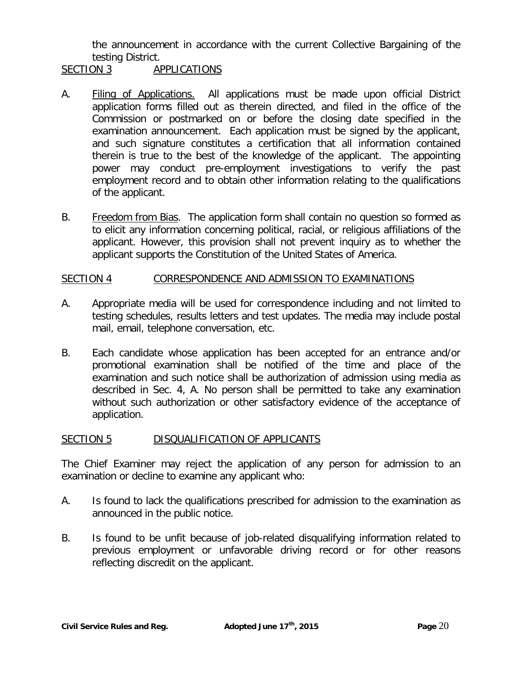the announcement in accordance with the current Collective Bargaining of the testing District.

## SECTION 3 APPLICATIONS

- A. Filing of Applications. All applications must be made upon official District application forms filled out as therein directed, and filed in the office of the Commission or postmarked on or before the closing date specified in the examination announcement. Each application must be signed by the applicant, and such signature constitutes a certification that all information contained therein is true to the best of the knowledge of the applicant. The appointing power may conduct pre-employment investigations to verify the past employment record and to obtain other information relating to the qualifications of the applicant.
- B. Freedom from Bias. The application form shall contain no question so formed as to elicit any information concerning political, racial, or religious affiliations of the applicant. However, this provision shall not prevent inquiry as to whether the applicant supports the Constitution of the United States of America.

## SECTION 4 CORRESPONDENCE AND ADMISSION TO EXAMINATIONS

- A. Appropriate media will be used for correspondence including and not limited to testing schedules, results letters and test updates. The media may include postal mail, email, telephone conversation, etc.
- B. Each candidate whose application has been accepted for an entrance and/or promotional examination shall be notified of the time and place of the examination and such notice shall be authorization of admission using media as described in Sec. 4, A. No person shall be permitted to take any examination without such authorization or other satisfactory evidence of the acceptance of application.

## SECTION 5 DISQUALIFICATION OF APPLICANTS

The Chief Examiner may reject the application of any person for admission to an examination or decline to examine any applicant who:

- A. Is found to lack the qualifications prescribed for admission to the examination as announced in the public notice.
- B. Is found to be unfit because of job-related disqualifying information related to previous employment or unfavorable driving record or for other reasons reflecting discredit on the applicant.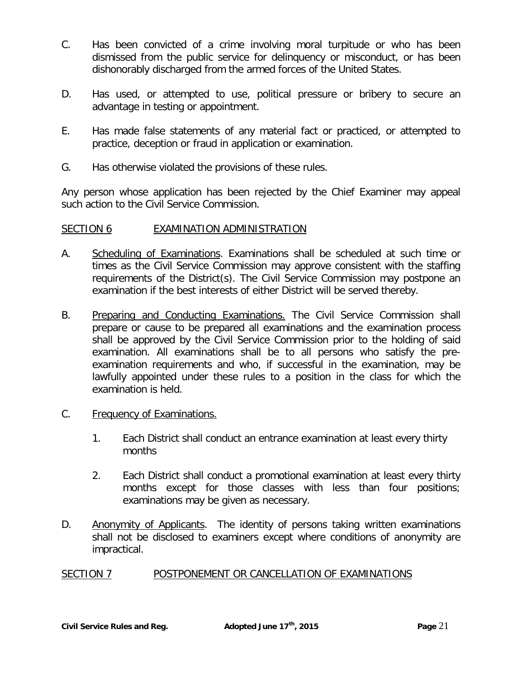- C. Has been convicted of a crime involving moral turpitude or who has been dismissed from the public service for delinquency or misconduct, or has been dishonorably discharged from the armed forces of the United States.
- D. Has used, or attempted to use, political pressure or bribery to secure an advantage in testing or appointment.
- E. Has made false statements of any material fact or practiced, or attempted to practice, deception or fraud in application or examination.
- G. Has otherwise violated the provisions of these rules.

Any person whose application has been rejected by the Chief Examiner may appeal such action to the Civil Service Commission.

# SECTION 6 EXAMINATION ADMINISTRATION

- A. Scheduling of Examinations. Examinations shall be scheduled at such time or times as the Civil Service Commission may approve consistent with the staffing requirements of the District(s). The Civil Service Commission may postpone an examination if the best interests of either District will be served thereby.
- B. Preparing and Conducting Examinations. The Civil Service Commission shall prepare or cause to be prepared all examinations and the examination process shall be approved by the Civil Service Commission prior to the holding of said examination. All examinations shall be to all persons who satisfy the preexamination requirements and who, if successful in the examination, may be lawfully appointed under these rules to a position in the class for which the examination is held.
- C. Frequency of Examinations.
	- 1. Each District shall conduct an entrance examination at least every thirty months
	- 2. Each District shall conduct a promotional examination at least every thirty months except for those classes with less than four positions; examinations may be given as necessary.
- D. Anonymity of Applicants. The identity of persons taking written examinations shall not be disclosed to examiners except where conditions of anonymity are impractical.

# SECTION 7 POSTPONEMENT OR CANCELLATION OF EXAMINATIONS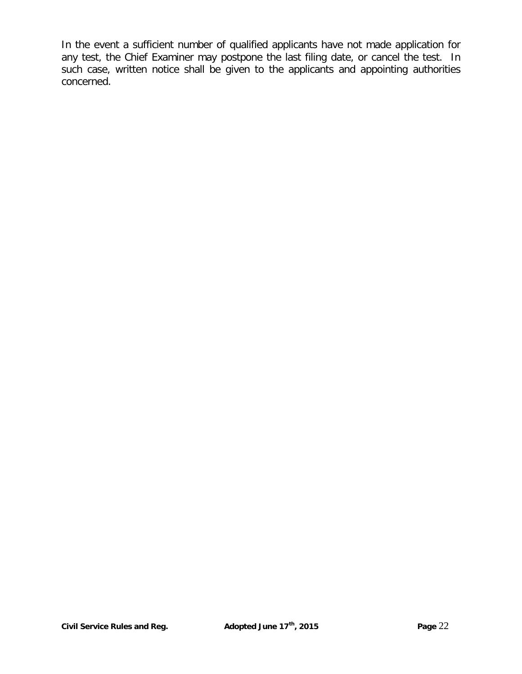In the event a sufficient number of qualified applicants have not made application for any test, the Chief Examiner may postpone the last filing date, or cancel the test. In such case, written notice shall be given to the applicants and appointing authorities concerned.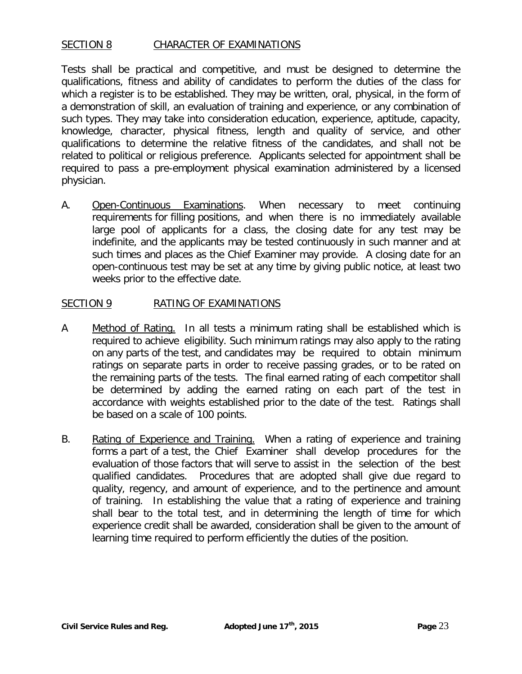## SECTION 8 CHARACTER OF EXAMINATIONS

Tests shall be practical and competitive, and must be designed to determine the qualifications, fitness and ability of candidates to perform the duties of the class for which a register is to be established. They may be written, oral, physical, in the form of a demonstration of skill, an evaluation of training and experience, or any combination of such types. They may take into consideration education, experience, aptitude, capacity, knowledge, character, physical fitness, length and quality of service, and other qualifications to determine the relative fitness of the candidates, and shall not be related to political or religious preference. Applicants selected for appointment shall be required to pass a pre-employment physical examination administered by a licensed physician.

A. Open-Continuous Examinations. When necessary to meet continuing requirements for filling positions, and when there is no immediately available large pool of applicants for a class, the closing date for any test may be indefinite, and the applicants may be tested continuously in such manner and at such times and places as the Chief Examiner may provide. A closing date for an open-continuous test may be set at any time by giving public notice, at least two weeks prior to the effective date.

# SECTION 9 RATING OF EXAMINATIONS

- A Method of Rating. In all tests a minimum rating shall be established which is required to achieve eligibility. Such minimum ratings may also apply to the rating on any parts of the test, and candidates may be required to obtain minimum ratings on separate parts in order to receive passing grades, or to be rated on the remaining parts of the tests. The final earned rating of each competitor shall be determined by adding the earned rating on each part of the test in accordance with weights established prior to the date of the test. Ratings shall be based on a scale of 100 points.
- B. Rating of Experience and Training. When a rating of experience and training forms a part of a test, the Chief Examiner shall develop procedures for the evaluation of those factors that will serve to assist in the selection of the best qualified candidates. Procedures that are adopted shall give due regard to quality, regency, and amount of experience, and to the pertinence and amount of training. In establishing the value that a rating of experience and training shall bear to the total test, and in determining the length of time for which experience credit shall be awarded, consideration shall be given to the amount of learning time required to perform efficiently the duties of the position.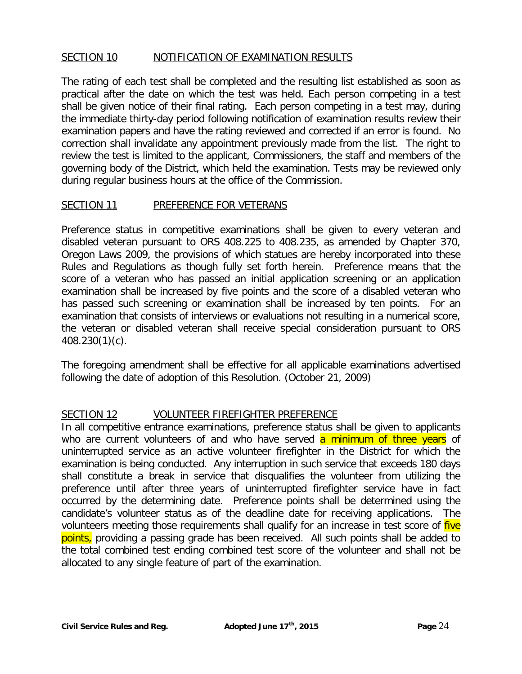## SECTION 10 NOTIFICATION OF EXAMINATION RESULTS

The rating of each test shall be completed and the resulting list established as soon as practical after the date on which the test was held. Each person competing in a test shall be given notice of their final rating. Each person competing in a test may, during the immediate thirty-day period following notification of examination results review their examination papers and have the rating reviewed and corrected if an error is found. No correction shall invalidate any appointment previously made from the list. The right to review the test is limited to the applicant, Commissioners, the staff and members of the governing body of the District, which held the examination. Tests may be reviewed only during regular business hours at the office of the Commission.

# SECTION 11 PREFERENCE FOR VETERANS

Preference status in competitive examinations shall be given to every veteran and disabled veteran pursuant to ORS 408.225 to 408.235, as amended by Chapter 370, Oregon Laws 2009, the provisions of which statues are hereby incorporated into these Rules and Regulations as though fully set forth herein. Preference means that the score of a veteran who has passed an initial application screening or an application examination shall be increased by five points and the score of a disabled veteran who has passed such screening or examination shall be increased by ten points. For an examination that consists of interviews or evaluations not resulting in a numerical score, the veteran or disabled veteran shall receive special consideration pursuant to ORS 408.230(1)(c).

The foregoing amendment shall be effective for all applicable examinations advertised following the date of adoption of this Resolution. (October 21, 2009)

## SECTION 12 VOLUNTEER FIREFIGHTER PREFERENCE

In all competitive entrance examinations, preference status shall be given to applicants who are current volunteers of and who have served a minimum of three years of uninterrupted service as an active volunteer firefighter in the District for which the examination is being conducted. Any interruption in such service that exceeds 180 days shall constitute a break in service that disqualifies the volunteer from utilizing the preference until after three years of uninterrupted firefighter service have in fact occurred by the determining date. Preference points shall be determined using the candidate's volunteer status as of the deadline date for receiving applications. The volunteers meeting those requirements shall qualify for an increase in test score of *five* points, providing a passing grade has been received. All such points shall be added to the total combined test ending combined test score of the volunteer and shall not be allocated to any single feature of part of the examination.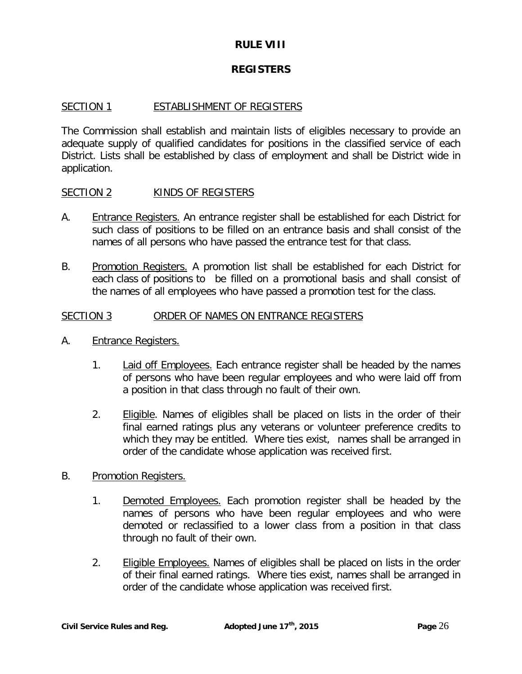# **RULE VIII**

# **REGISTERS**

#### SECTION 1 ESTABLISHMENT OF REGISTERS

The Commission shall establish and maintain lists of eligibles necessary to provide an adequate supply of qualified candidates for positions in the classified service of each District. Lists shall be established by class of employment and shall be District wide in application.

#### SECTION 2 KINDS OF REGISTERS

- A. Entrance Registers. An entrance register shall be established for each District for such class of positions to be filled on an entrance basis and shall consist of the names of all persons who have passed the entrance test for that class.
- B. Promotion Registers. A promotion list shall be established for each District for each class of positions to be filled on a promotional basis and shall consist of the names of all employees who have passed a promotion test for the class.

#### SECTION 3 ORDER OF NAMES ON ENTRANCE REGISTERS

- A. Entrance Registers.
	- 1. Laid off Employees. Each entrance register shall be headed by the names of persons who have been regular employees and who were laid off from a position in that class through no fault of their own.
	- 2. Eligible. Names of eligibles shall be placed on lists in the order of their final earned ratings plus any veterans or volunteer preference credits to which they may be entitled. Where ties exist, names shall be arranged in order of the candidate whose application was received first.
- B. Promotion Registers.
	- 1. Demoted Employees. Each promotion register shall be headed by the names of persons who have been regular employees and who were demoted or reclassified to a lower class from a position in that class through no fault of their own.
	- 2. Eligible Employees. Names of eligibles shall be placed on lists in the order of their final earned ratings. Where ties exist, names shall be arranged in order of the candidate whose application was received first.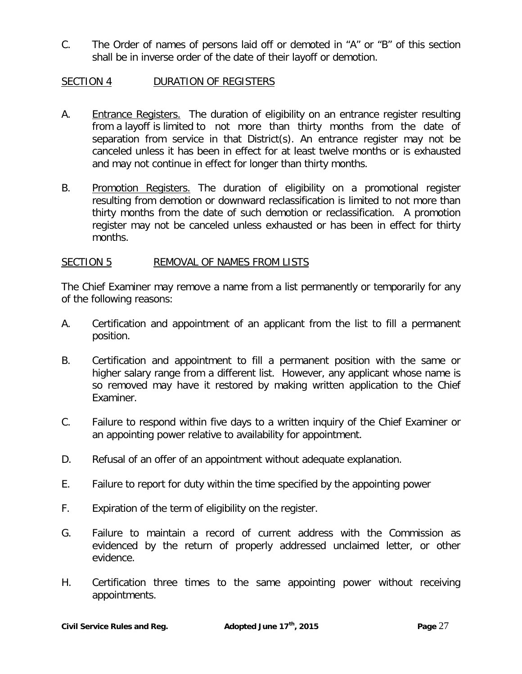C. The Order of names of persons laid off or demoted in "A" or "B" of this section shall be in inverse order of the date of their layoff or demotion.

## SECTION 4 DURATION OF REGISTERS

- A. Entrance Registers. The duration of eligibility on an entrance register resulting from a layoff is limited to not more than thirty months from the date of separation from service in that District(s). An entrance register may not be canceled unless it has been in effect for at least twelve months or is exhausted and may not continue in effect for longer than thirty months.
- B. Promotion Registers. The duration of eligibility on a promotional register resulting from demotion or downward reclassification is limited to not more than thirty months from the date of such demotion or reclassification. A promotion register may not be canceled unless exhausted or has been in effect for thirty months.

## SECTION 5 REMOVAL OF NAMES FROM LISTS

The Chief Examiner may remove a name from a list permanently or temporarily for any of the following reasons:

- A. Certification and appointment of an applicant from the list to fill a permanent position.
- B. Certification and appointment to fill a permanent position with the same or higher salary range from a different list. However, any applicant whose name is so removed may have it restored by making written application to the Chief Examiner.
- C. Failure to respond within five days to a written inquiry of the Chief Examiner or an appointing power relative to availability for appointment.
- D. Refusal of an offer of an appointment without adequate explanation.
- E. Failure to report for duty within the time specified by the appointing power
- F. Expiration of the term of eligibility on the register.
- G. Failure to maintain a record of current address with the Commission as evidenced by the return of properly addressed unclaimed letter, or other evidence.
- H. Certification three times to the same appointing power without receiving appointments.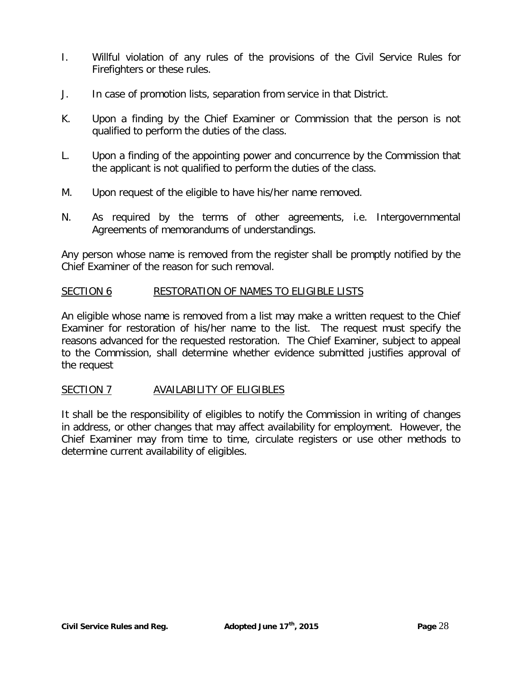- I. Willful violation of any rules of the provisions of the Civil Service Rules for Firefighters or these rules.
- J. In case of promotion lists, separation from service in that District.
- K. Upon a finding by the Chief Examiner or Commission that the person is not qualified to perform the duties of the class.
- L. Upon a finding of the appointing power and concurrence by the Commission that the applicant is not qualified to perform the duties of the class.
- M. Upon request of the eligible to have his/her name removed.
- N. As required by the terms of other agreements, i.e. Intergovernmental Agreements of memorandums of understandings.

Any person whose name is removed from the register shall be promptly notified by the Chief Examiner of the reason for such removal.

#### SECTION 6 RESTORATION OF NAMES TO ELIGIBLE LISTS

An eligible whose name is removed from a list may make a written request to the Chief Examiner for restoration of his/her name to the list. The request must specify the reasons advanced for the requested restoration. The Chief Examiner, subject to appeal to the Commission, shall determine whether evidence submitted justifies approval of the request

#### SECTION 7 AVAILABILITY OF ELIGIBLES

It shall be the responsibility of eligibles to notify the Commission in writing of changes in address, or other changes that may affect availability for employment. However, the Chief Examiner may from time to time, circulate registers or use other methods to determine current availability of eligibles.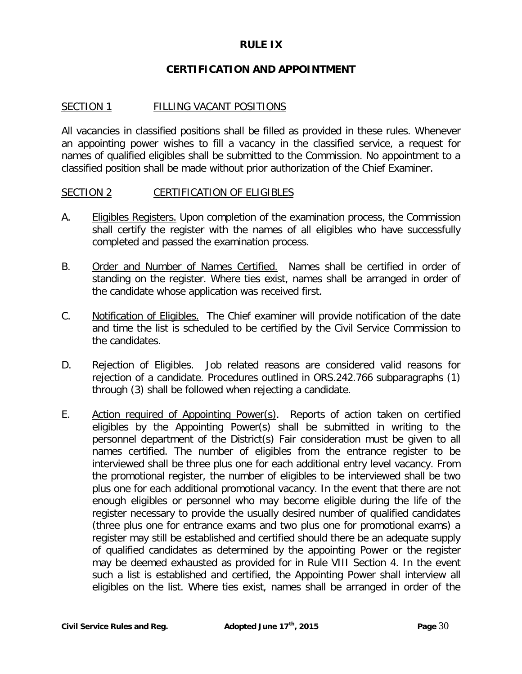### **RULE IX**

#### **CERTIFICATION AND APPOINTMENT**

#### SECTION 1 FILLING VACANT POSITIONS

All vacancies in classified positions shall be filled as provided in these rules. Whenever an appointing power wishes to fill a vacancy in the classified service, a request for names of qualified eligibles shall be submitted to the Commission. No appointment to a classified position shall be made without prior authorization of the Chief Examiner.

#### SECTION 2 **CERTIFICATION OF ELIGIBLES**

- A. Eligibles Registers. Upon completion of the examination process, the Commission shall certify the register with the names of all eligibles who have successfully completed and passed the examination process.
- B. Order and Number of Names Certified. Names shall be certified in order of standing on the register. Where ties exist, names shall be arranged in order of the candidate whose application was received first.
- C. Notification of Eligibles. The Chief examiner will provide notification of the date and time the list is scheduled to be certified by the Civil Service Commission to the candidates.
- D. Rejection of Eligibles. Job related reasons are considered valid reasons for rejection of a candidate. Procedures outlined in ORS.242.766 subparagraphs (1) through (3) shall be followed when rejecting a candidate.
- E. Action required of Appointing Power(s). Reports of action taken on certified eligibles by the Appointing Power(s) shall be submitted in writing to the personnel department of the District(s) Fair consideration must be given to all names certified. The number of eligibles from the entrance register to be interviewed shall be three plus one for each additional entry level vacancy. From the promotional register, the number of eligibles to be interviewed shall be two plus one for each additional promotional vacancy. In the event that there are not enough eligibles or personnel who may become eligible during the life of the register necessary to provide the usually desired number of qualified candidates (three plus one for entrance exams and two plus one for promotional exams) a register may still be established and certified should there be an adequate supply of qualified candidates as determined by the appointing Power or the register may be deemed exhausted as provided for in Rule VIII Section 4. In the event such a list is established and certified, the Appointing Power shall interview all eligibles on the list. Where ties exist, names shall be arranged in order of the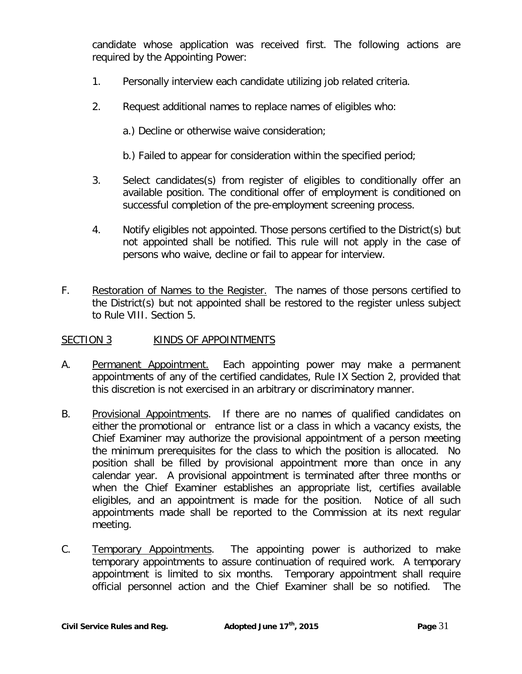candidate whose application was received first. The following actions are required by the Appointing Power:

- 1. Personally interview each candidate utilizing job related criteria.
- 2. Request additional names to replace names of eligibles who:
	- a.) Decline or otherwise waive consideration;
	- b.) Failed to appear for consideration within the specified period;
- 3. Select candidates(s) from register of eligibles to conditionally offer an available position. The conditional offer of employment is conditioned on successful completion of the pre-employment screening process.
- 4. Notify eligibles not appointed. Those persons certified to the District(s) but not appointed shall be notified. This rule will not apply in the case of persons who waive, decline or fail to appear for interview.
- F. Restoration of Names to the Register. The names of those persons certified to the District(s) but not appointed shall be restored to the register unless subject to Rule VIII. Section 5.

# SECTION 3 KINDS OF APPOINTMENTS

- A. Permanent Appointment. Each appointing power may make a permanent appointments of any of the certified candidates, Rule IX Section 2, provided that this discretion is not exercised in an arbitrary or discriminatory manner.
- B. Provisional Appointments. If there are no names of qualified candidates on either the promotional or entrance list or a class in which a vacancy exists, the Chief Examiner may authorize the provisional appointment of a person meeting the minimum prerequisites for the class to which the position is allocated. No position shall be filled by provisional appointment more than once in any calendar year. A provisional appointment is terminated after three months or when the Chief Examiner establishes an appropriate list, certifies available eligibles, and an appointment is made for the position. Notice of all such appointments made shall be reported to the Commission at its next regular meeting.
- C. Temporary Appointments. The appointing power is authorized to make temporary appointments to assure continuation of required work. A temporary appointment is limited to six months. Temporary appointment shall require official personnel action and the Chief Examiner shall be so notified. The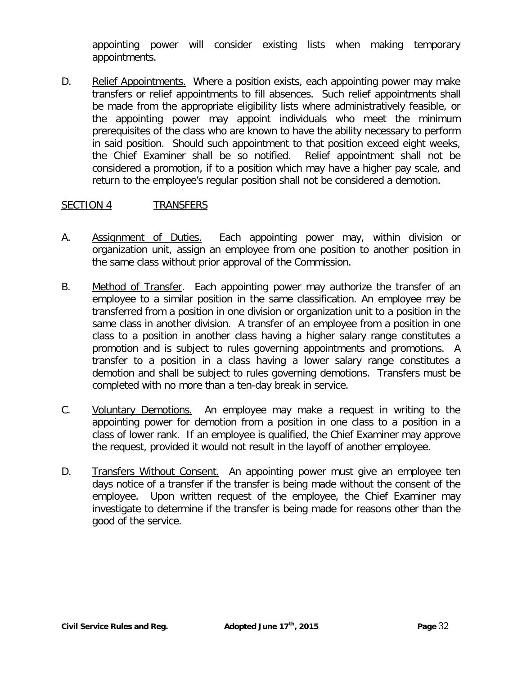appointing power will consider existing lists when making temporary appointments.

D. Relief Appointments. Where a position exists, each appointing power may make transfers or relief appointments to fill absences. Such relief appointments shall be made from the appropriate eligibility lists where administratively feasible, or the appointing power may appoint individuals who meet the minimum prerequisites of the class who are known to have the ability necessary to perform in said position. Should such appointment to that position exceed eight weeks, the Chief Examiner shall be so notified. Relief appointment shall not be considered a promotion, if to a position which may have a higher pay scale, and return to the employee's regular position shall not be considered a demotion.

# SECTION 4 TRANSFERS

- A. **Assignment of Duties.** Each appointing power may, within division or organization unit, assign an employee from one position to another position in the same class without prior approval of the Commission.
- B. Method of Transfer. Each appointing power may authorize the transfer of an employee to a similar position in the same classification. An employee may be transferred from a position in one division or organization unit to a position in the same class in another division. A transfer of an employee from a position in one class to a position in another class having a higher salary range constitutes a promotion and is subject to rules governing appointments and promotions. A transfer to a position in a class having a lower salary range constitutes a demotion and shall be subject to rules governing demotions. Transfers must be completed with no more than a ten-day break in service.
- C. Voluntary Demotions. An employee may make a request in writing to the appointing power for demotion from a position in one class to a position in a class of lower rank. If an employee is qualified, the Chief Examiner may approve the request, provided it would not result in the layoff of another employee.
- D. Transfers Without Consent. An appointing power must give an employee ten days notice of a transfer if the transfer is being made without the consent of the employee. Upon written request of the employee, the Chief Examiner may investigate to determine if the transfer is being made for reasons other than the good of the service.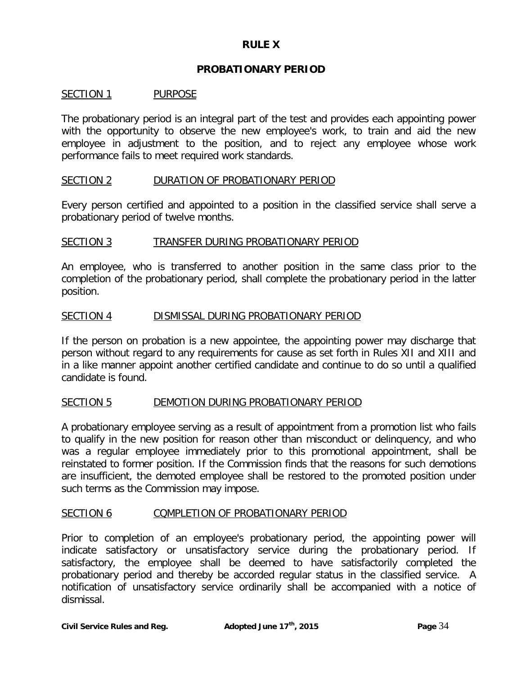#### **RULE X**

#### **PROBATIONARY PERIOD**

#### SECTION 1 PURPOSE

The probationary period is an integral part of the test and provides each appointing power with the opportunity to observe the new employee's work, to train and aid the new employee in adjustment to the position, and to reject any employee whose work performance fails to meet required work standards.

#### SECTION 2 DURATION OF PROBATIONARY PERIOD

Every person certified and appointed to a position in the classified service shall serve a probationary period of twelve months.

#### SECTION 3 TRANSFER DURING PROBATIONARY PERIOD

An employee, who is transferred to another position in the same class prior to the completion of the probationary period, shall complete the probationary period in the latter position.

#### SECTION 4 DISMISSAL DURING PROBATIONARY PERIOD

If the person on probation is a new appointee, the appointing power may discharge that person without regard to any requirements for cause as set forth in Rules XII and XIII and in a like manner appoint another certified candidate and continue to do so until a qualified candidate is found.

#### SECTION 5 DEMOTION DURING PROBATIONARY PERIOD

A probationary employee serving as a result of appointment from a promotion list who fails to qualify in the new position for reason other than misconduct or delinquency, and who was a regular employee immediately prior to this promotional appointment, shall be reinstated to former position. If the Commission finds that the reasons for such demotions are insufficient, the demoted employee shall be restored to the promoted position under such terms as the Commission may impose.

#### SECTION 6 COMPLETION OF PROBATIONARY PERIOD

Prior to completion of an employee's probationary period, the appointing power will indicate satisfactory or unsatisfactory service during the probationary period. If satisfactory, the employee shall be deemed to have satisfactorily completed the probationary period and thereby be accorded regular status in the classified service. A notification of unsatisfactory service ordinarily shall be accompanied with a notice of dismissal.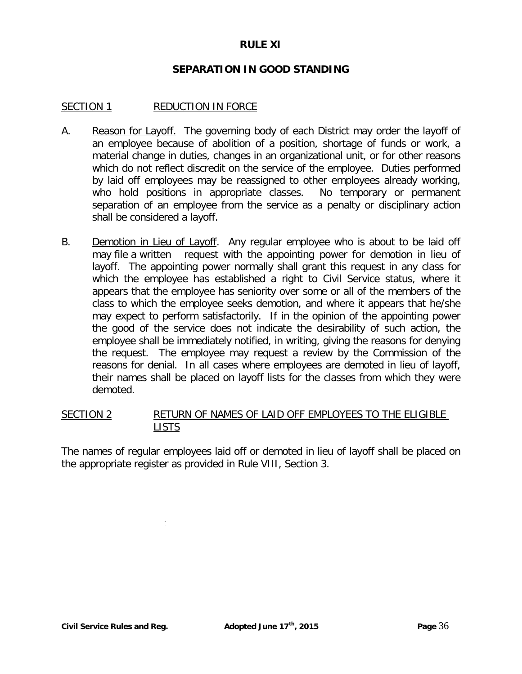### **RULE XI**

#### **SEPARATION IN GOOD STANDING**

#### SECTION 1 REDUCTION IN FORCE

- A. Reason for Layoff. The governing body of each District may order the layoff of an employee because of abolition of a position, shortage of funds or work, a material change in duties, changes in an organizational unit, or for other reasons which do not reflect discredit on the service of the employee. Duties performed by laid off employees may be reassigned to other employees already working, who hold positions in appropriate classes. No temporary or permanent separation of an employee from the service as a penalty or disciplinary action shall be considered a layoff.
- B. Demotion in Lieu of Layoff. Any regular employee who is about to be laid off may file a written request with the appointing power for demotion in lieu of layoff. The appointing power normally shall grant this request in any class for which the employee has established a right to Civil Service status, where it appears that the employee has seniority over some or all of the members of the class to which the employee seeks demotion, and where it appears that he/she may expect to perform satisfactorily. If in the opinion of the appointing power the good of the service does not indicate the desirability of such action, the employee shall be immediately notified, in writing, giving the reasons for denying the request. The employee may request a review by the Commission of the reasons for denial. In all cases where employees are demoted in lieu of layoff, their names shall be placed on layoff lists for the classes from which they were demoted.

# SECTION 2 RETURN OF NAMES OF LAID OFF EMPLOYEES TO THE ELIGIBLE LISTS

The names of regular employees laid off or demoted in lieu of layoff shall be placed on the appropriate register as provided in Rule VIII, Section 3.

- -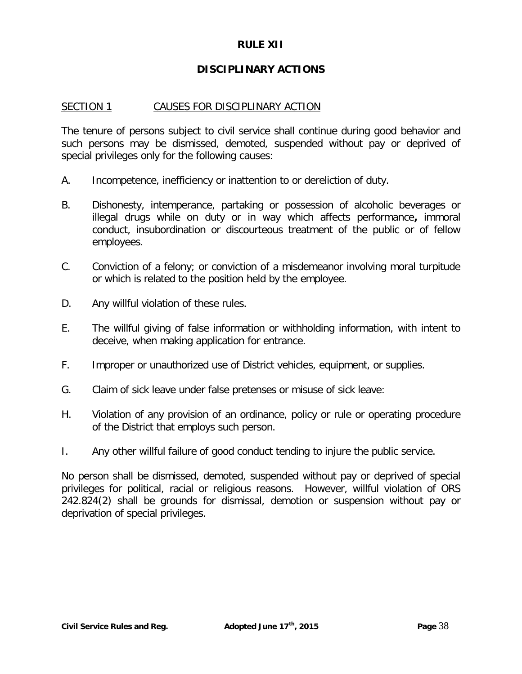## **RULE XII**

# **DISCIPLINARY ACTIONS**

#### SECTION 1 CAUSES FOR DISCIPLINARY ACTION

The tenure of persons subject to civil service shall continue during good behavior and such persons may be dismissed, demoted, suspended without pay or deprived of special privileges only for the following causes:

- A. Incompetence, inefficiency or inattention to or dereliction of duty.
- B. Dishonesty, intemperance, partaking or possession of alcoholic beverages or illegal drugs while on duty or in way which affects performance**,** immoral conduct, insubordination or discourteous treatment of the public or of fellow employees.
- C. Conviction of a felony; or conviction of a misdemeanor involving moral turpitude or which is related to the position held by the employee.
- D. Any willful violation of these rules.
- E. The willful giving of false information or withholding information, with intent to deceive, when making application for entrance.
- F. Improper or unauthorized use of District vehicles, equipment, or supplies.
- G. Claim of sick leave under false pretenses or misuse of sick leave:
- H. Violation of any provision of an ordinance, policy or rule or operating procedure of the District that employs such person.
- I. Any other willful failure of good conduct tending to injure the public service.

No person shall be dismissed, demoted, suspended without pay or deprived of special privileges for political, racial or religious reasons. However, willful violation of ORS 242.824(2) shall be grounds for dismissal, demotion or suspension without pay or deprivation of special privileges.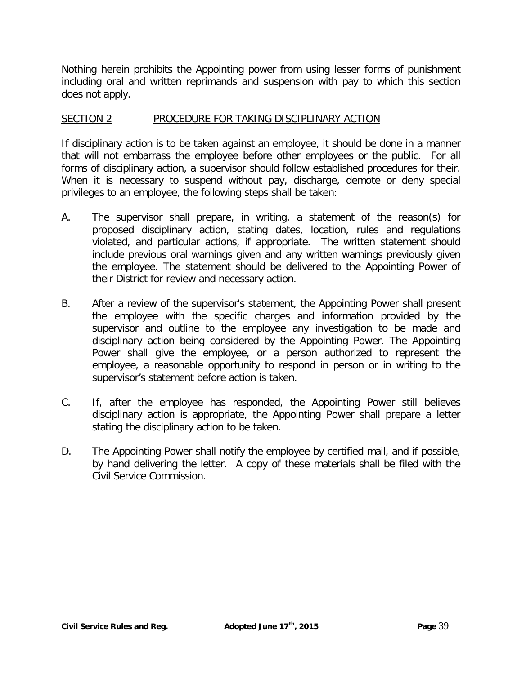Nothing herein prohibits the Appointing power from using lesser forms of punishment including oral and written reprimands and suspension with pay to which this section does not apply.

### SECTION 2 PROCEDURE FOR TAKING DISCIPLINARY ACTION

If disciplinary action is to be taken against an employee, it should be done in a manner that will not embarrass the employee before other employees or the public. For all forms of disciplinary action, a supervisor should follow established procedures for their. When it is necessary to suspend without pay, discharge, demote or deny special privileges to an employee, the following steps shall be taken:

- A. The supervisor shall prepare, in writing, a statement of the reason(s) for proposed disciplinary action, stating dates, location, rules and regulations violated, and particular actions, if appropriate. The written statement should include previous oral warnings given and any written warnings previously given the employee. The statement should be delivered to the Appointing Power of their District for review and necessary action.
- B. After a review of the supervisor's statement, the Appointing Power shall present the employee with the specific charges and information provided by the supervisor and outline to the employee any investigation to be made and disciplinary action being considered by the Appointing Power. The Appointing Power shall give the employee, or a person authorized to represent the employee, a reasonable opportunity to respond in person or in writing to the supervisor's statement before action is taken.
- C. If, after the employee has responded, the Appointing Power still believes disciplinary action is appropriate, the Appointing Power shall prepare a letter stating the disciplinary action to be taken.
- D. The Appointing Power shall notify the employee by certified mail, and if possible, by hand delivering the letter. A copy of these materials shall be filed with the Civil Service Commission.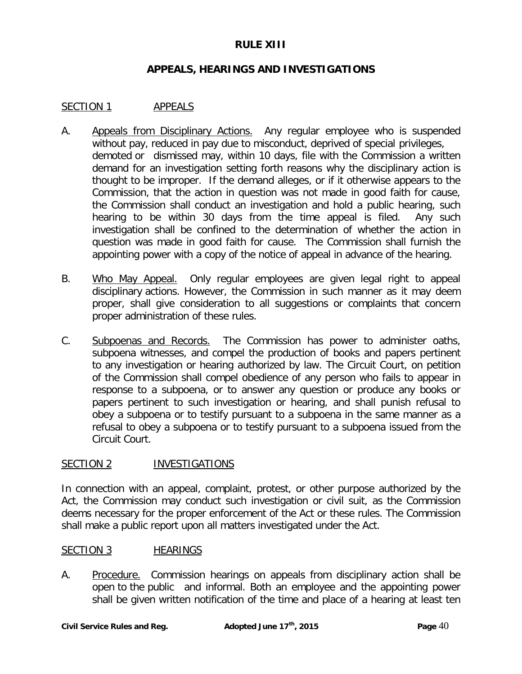# **RULE XIII**

# **APPEALS, HEARINGS AND INVESTIGATIONS**

## SECTION 1 APPEALS

- A. Appeals from Disciplinary Actions. Any regular employee who is suspended without pay, reduced in pay due to misconduct, deprived of special privileges, demoted or dismissed may, within 10 days, file with the Commission a written demand for an investigation setting forth reasons why the disciplinary action is thought to be improper. If the demand alleges, or if it otherwise appears to the Commission, that the action in question was not made in good faith for cause, the Commission shall conduct an investigation and hold a public hearing, such hearing to be within 30 days from the time appeal is filed. Any such investigation shall be confined to the determination of whether the action in question was made in good faith for cause. The Commission shall furnish the appointing power with a copy of the notice of appeal in advance of the hearing.
- B. Who May Appeal. Only regular employees are given legal right to appeal disciplinary actions. However, the Commission in such manner as it may deem proper, shall give consideration to all suggestions or complaints that concern proper administration of these rules.
- C. Subpoenas and Records. The Commission has power to administer oaths, subpoena witnesses, and compel the production of books and papers pertinent to any investigation or hearing authorized by law. The Circuit Court, on petition of the Commission shall compel obedience of any person who fails to appear in response to a subpoena, or to answer any question or produce any books or papers pertinent to such investigation or hearing, and shall punish refusal to obey a subpoena or to testify pursuant to a subpoena in the same manner as a refusal to obey a subpoena or to testify pursuant to a subpoena issued from the Circuit Court.

## SECTION 2 **INVESTIGATIONS**

In connection with an appeal, complaint, protest, or other purpose authorized by the Act, the Commission may conduct such investigation or civil suit, as the Commission deems necessary for the proper enforcement of the Act or these rules. The Commission shall make a public report upon all matters investigated under the Act.

## SECTION 3 HEARINGS

A. Procedure. Commission hearings on appeals from disciplinary action shall be open to the public and informal. Both an employee and the appointing power shall be given written notification of the time and place of a hearing at least ten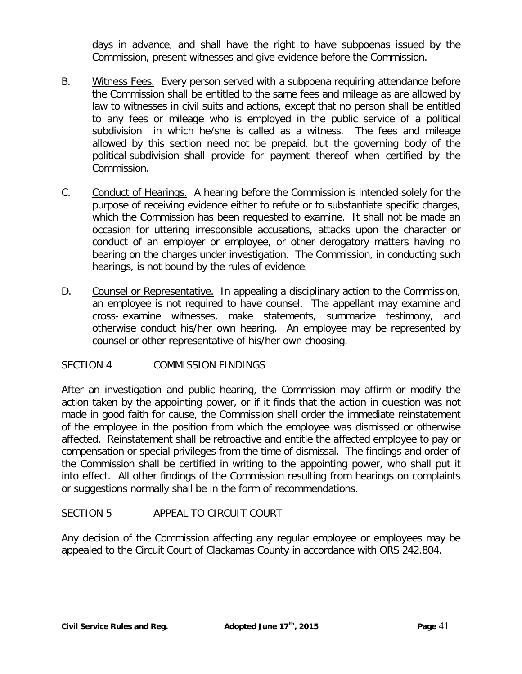days in advance, and shall have the right to have subpoenas issued by the Commission, present witnesses and give evidence before the Commission.

- B. Witness Fees. Every person served with a subpoena requiring attendance before the Commission shall be entitled to the same fees and mileage as are allowed by law to witnesses in civil suits and actions, except that no person shall be entitled to any fees or mileage who is employed in the public service of a political subdivision in which he/she is called as a witness. The fees and mileage allowed by this section need not be prepaid, but the governing body of the political subdivision shall provide for payment thereof when certified by the Commission.
- C. Conduct of Hearings. A hearing before the Commission is intended solely for the purpose of receiving evidence either to refute or to substantiate specific charges, which the Commission has been requested to examine. It shall not be made an occasion for uttering irresponsible accusations, attacks upon the character or conduct of an employer or employee, or other derogatory matters having no bearing on the charges under investigation. The Commission, in conducting such hearings, is not bound by the rules of evidence.
- D. Counsel or Representative. In appealing a disciplinary action to the Commission, an employee is not required to have counsel. The appellant may examine and cross- examine witnesses, make statements, summarize testimony, and otherwise conduct his/her own hearing. An employee may be represented by counsel or other representative of his/her own choosing.

# SECTION 4 COMMISSION FINDINGS

After an investigation and public hearing, the Commission may affirm or modify the action taken by the appointing power, or if it finds that the action in question was not made in good faith for cause, the Commission shall order the immediate reinstatement of the employee in the position from which the employee was dismissed or otherwise affected. Reinstatement shall be retroactive and entitle the affected employee to pay or compensation or special privileges from the time of dismissal. The findings and order of the Commission shall be certified in writing to the appointing power, who shall put it into effect. All other findings of the Commission resulting from hearings on complaints or suggestions normally shall be in the form of recommendations.

## SECTION 5 APPEAL TO CIRCUIT COURT

Any decision of the Commission affecting any regular employee or employees may be appealed to the Circuit Court of Clackamas County in accordance with ORS 242.804.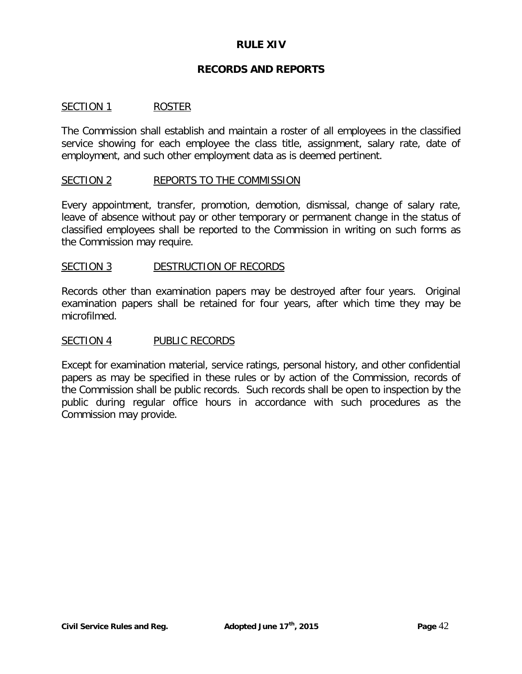## **RULE XIV**

## **RECORDS AND REPORTS**

#### SECTION 1 ROSTER

The Commission shall establish and maintain a roster of all employees in the classified service showing for each employee the class title, assignment, salary rate, date of employment, and such other employment data as is deemed pertinent.

#### SECTION 2 REPORTS TO THE COMMISSION

Every appointment, transfer, promotion, demotion, dismissal, change of salary rate, leave of absence without pay or other temporary or permanent change in the status of classified employees shall be reported to the Commission in writing on such forms as the Commission may require.

#### SECTION 3 DESTRUCTION OF RECORDS

Records other than examination papers may be destroyed after four years. Original examination papers shall be retained for four years, after which time they may be microfilmed.

#### SECTION 4 PUBLIC RECORDS

Except for examination material, service ratings, personal history, and other confidential papers as may be specified in these rules or by action of the Commission, records of the Commission shall be public records. Such records shall be open to inspection by the public during regular office hours in accordance with such procedures as the Commission may provide.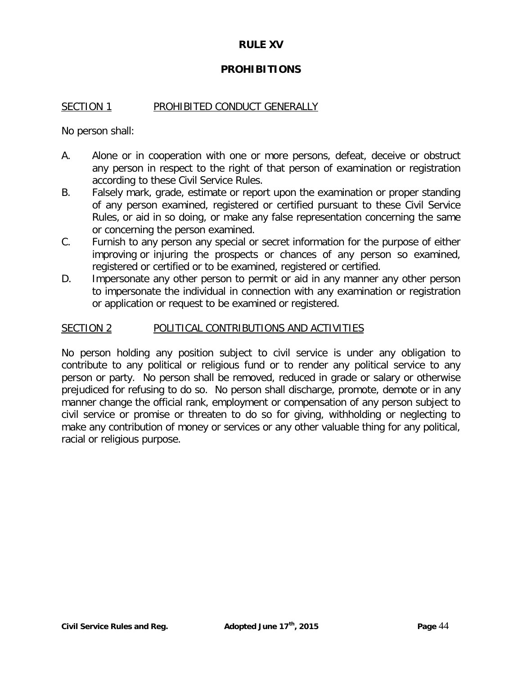### **RULE XV**

## **PROHIBITIONS**

#### SECTION 1 PROHIBITED CONDUCT GENERALLY

No person shall:

- A. Alone or in cooperation with one or more persons, defeat, deceive or obstruct any person in respect to the right of that person of examination or registration according to these Civil Service Rules.
- B. Falsely mark, grade, estimate or report upon the examination or proper standing of any person examined, registered or certified pursuant to these Civil Service Rules, or aid in so doing, or make any false representation concerning the same or concerning the person examined.
- C. Furnish to any person any special or secret information for the purpose of either improving or injuring the prospects or chances of any person so examined, registered or certified or to be examined, registered or certified.
- D. Impersonate any other person to permit or aid in any manner any other person to impersonate the individual in connection with any examination or registration or application or request to be examined or registered.

#### SECTION 2 POLITICAL CONTRIBUTIONS AND ACTIVITIES

No person holding any position subject to civil service is under any obligation to contribute to any political or religious fund or to render any political service to any person or party. No person shall be removed, reduced in grade or salary or otherwise prejudiced for refusing to do so. No person shall discharge, promote, demote or in any manner change the official rank, employment or compensation of any person subject to civil service or promise or threaten to do so for giving, withholding or neglecting to make any contribution of money or services or any other valuable thing for any political, racial or religious purpose.